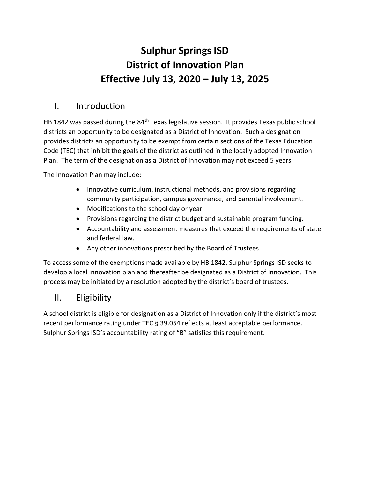# **Sulphur Springs ISD District of Innovation Plan Effective July 13, 2020 – July 13, 2025**

# I. Introduction

HB 1842 was passed during the 84<sup>th</sup> Texas legislative session. It provides Texas public school districts an opportunity to be designated as a District of Innovation. Such a designation provides districts an opportunity to be exempt from certain sections of the Texas Education Code (TEC) that inhibit the goals of the district as outlined in the locally adopted Innovation Plan. The term of the designation as a District of Innovation may not exceed 5 years.

The Innovation Plan may include:

- Innovative curriculum, instructional methods, and provisions regarding community participation, campus governance, and parental involvement.
- Modifications to the school day or year.
- Provisions regarding the district budget and sustainable program funding.
- Accountability and assessment measures that exceed the requirements of state and federal law.
- Any other innovations prescribed by the Board of Trustees.

To access some of the exemptions made available by HB 1842, Sulphur Springs ISD seeks to develop a local innovation plan and thereafter be designated as a District of Innovation. This process may be initiated by a resolution adopted by the district's board of trustees.

# II. Eligibility

A school district is eligible for designation as a District of Innovation only if the district's most recent performance rating under TEC § 39.054 reflects at least acceptable performance. Sulphur Springs ISD's accountability rating of "B" satisfies this requirement.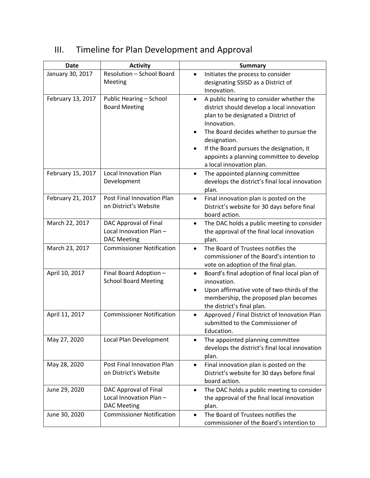| <b>Date</b>       | <b>Activity</b>                                                        | <b>Summary</b>                                                                                                                                                                                                                                                                                                                           |
|-------------------|------------------------------------------------------------------------|------------------------------------------------------------------------------------------------------------------------------------------------------------------------------------------------------------------------------------------------------------------------------------------------------------------------------------------|
| January 30, 2017  | Resolution - School Board<br>Meeting                                   | Initiates the process to consider<br>designating SSISD as a District of<br>Innovation.                                                                                                                                                                                                                                                   |
| February 13, 2017 | Public Hearing - School<br><b>Board Meeting</b>                        | A public hearing to consider whether the<br>$\bullet$<br>district should develop a local innovation<br>plan to be designated a District of<br>Innovation.<br>The Board decides whether to pursue the<br>designation.<br>If the Board pursues the designation, it<br>appoints a planning committee to develop<br>a local innovation plan. |
| February 15, 2017 | <b>Local Innovation Plan</b><br>Development                            | The appointed planning committee<br>$\bullet$<br>develops the district's final local innovation<br>plan.                                                                                                                                                                                                                                 |
| February 21, 2017 | Post Final Innovation Plan<br>on District's Website                    | Final innovation plan is posted on the<br>$\bullet$<br>District's website for 30 days before final<br>board action.                                                                                                                                                                                                                      |
| March 22, 2017    | DAC Approval of Final<br>Local Innovation Plan -<br><b>DAC Meeting</b> | The DAC holds a public meeting to consider<br>$\bullet$<br>the approval of the final local innovation<br>plan.                                                                                                                                                                                                                           |
| March 23, 2017    | <b>Commissioner Notification</b>                                       | The Board of Trustees notifies the<br>$\bullet$<br>commissioner of the Board's intention to<br>vote on adoption of the final plan.                                                                                                                                                                                                       |
| April 10, 2017    | Final Board Adoption -<br><b>School Board Meeting</b>                  | Board's final adoption of final local plan of<br>$\bullet$<br>innovation.<br>Upon affirmative vote of two-thirds of the<br>$\bullet$<br>membership, the proposed plan becomes<br>the district's final plan.                                                                                                                              |
| April 11, 2017    | <b>Commissioner Notification</b>                                       | Approved / Final District of Innovation Plan<br>submitted to the Commissioner of<br>Education.                                                                                                                                                                                                                                           |
| May 27, 2020      | Local Plan Development                                                 | The appointed planning committee<br>develops the district's final local innovation<br>plan.                                                                                                                                                                                                                                              |
| May 28, 2020      | Post Final Innovation Plan<br>on District's Website                    | Final innovation plan is posted on the<br>$\bullet$<br>District's website for 30 days before final<br>board action.                                                                                                                                                                                                                      |
| June 29, 2020     | DAC Approval of Final<br>Local Innovation Plan-<br><b>DAC Meeting</b>  | The DAC holds a public meeting to consider<br>$\bullet$<br>the approval of the final local innovation<br>plan.                                                                                                                                                                                                                           |
| June 30, 2020     | <b>Commissioner Notification</b>                                       | The Board of Trustees notifies the<br>$\bullet$<br>commissioner of the Board's intention to                                                                                                                                                                                                                                              |

# III. Timeline for Plan Development and Approval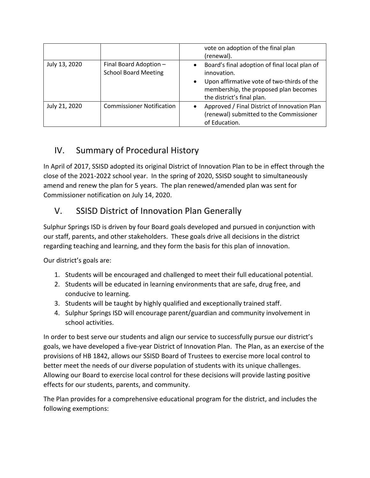|               |                                                       | vote on adoption of the final plan<br>(renewal).                                                                                                                                                            |
|---------------|-------------------------------------------------------|-------------------------------------------------------------------------------------------------------------------------------------------------------------------------------------------------------------|
| July 13, 2020 | Final Board Adoption -<br><b>School Board Meeting</b> | Board's final adoption of final local plan of<br>$\bullet$<br>innovation.<br>Upon affirmative vote of two-thirds of the<br>$\bullet$<br>membership, the proposed plan becomes<br>the district's final plan. |
| July 21, 2020 | <b>Commissioner Notification</b>                      | Approved / Final District of Innovation Plan<br>(renewal) submitted to the Commissioner<br>of Education.                                                                                                    |

# IV. Summary of Procedural History

In April of 2017, SSISD adopted its original District of Innovation Plan to be in effect through the close of the 2021-2022 school year. In the spring of 2020, SSISD sought to simultaneously amend and renew the plan for 5 years. The plan renewed/amended plan was sent for Commissioner notification on July 14, 2020.

# V. SSISD District of Innovation Plan Generally

Sulphur Springs ISD is driven by four Board goals developed and pursued in conjunction with our staff, parents, and other stakeholders. These goals drive all decisions in the district regarding teaching and learning, and they form the basis for this plan of innovation.

Our district's goals are:

- 1. Students will be encouraged and challenged to meet their full educational potential.
- 2. Students will be educated in learning environments that are safe, drug free, and conducive to learning.
- 3. Students will be taught by highly qualified and exceptionally trained staff.
- 4. Sulphur Springs ISD will encourage parent/guardian and community involvement in school activities.

In order to best serve our students and align our service to successfully pursue our district's goals, we have developed a five-year District of Innovation Plan. The Plan, as an exercise of the provisions of HB 1842, allows our SSISD Board of Trustees to exercise more local control to better meet the needs of our diverse population of students with its unique challenges. Allowing our Board to exercise local control for these decisions will provide lasting positive effects for our students, parents, and community.

The Plan provides for a comprehensive educational program for the district, and includes the following exemptions: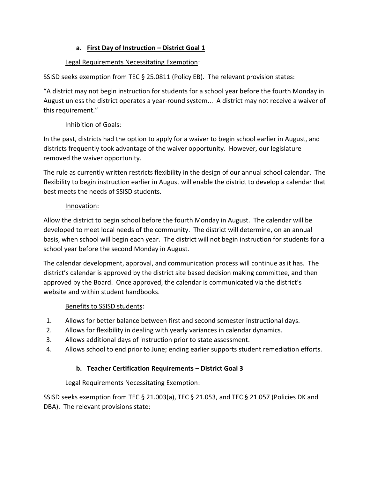### **a. First Day of Instruction – District Goal 1**

### Legal Requirements Necessitating Exemption:

SSISD seeks exemption from TEC § 25.0811 (Policy EB). The relevant provision states:

"A district may not begin instruction for students for a school year before the fourth Monday in August unless the district operates a year-round system... A district may not receive a waiver of this requirement."

## Inhibition of Goals:

In the past, districts had the option to apply for a waiver to begin school earlier in August, and districts frequently took advantage of the waiver opportunity. However, our legislature removed the waiver opportunity.

The rule as currently written restricts flexibility in the design of our annual school calendar. The flexibility to begin instruction earlier in August will enable the district to develop a calendar that best meets the needs of SSISD students.

### Innovation:

Allow the district to begin school before the fourth Monday in August. The calendar will be developed to meet local needs of the community. The district will determine, on an annual basis, when school will begin each year. The district will not begin instruction for students for a school year before the second Monday in August.

The calendar development, approval, and communication process will continue as it has. The district's calendar is approved by the district site based decision making committee, and then approved by the Board. Once approved, the calendar is communicated via the district's website and within student handbooks.

## Benefits to SSISD students:

- 1. Allows for better balance between first and second semester instructional days.
- 2. Allows for flexibility in dealing with yearly variances in calendar dynamics.
- 3. Allows additional days of instruction prior to state assessment.
- 4. Allows school to end prior to June; ending earlier supports student remediation efforts.

## **b. Teacher Certification Requirements – District Goal 3**

#### Legal Requirements Necessitating Exemption:

SSISD seeks exemption from TEC § 21.003(a), TEC § 21.053, and TEC § 21.057 (Policies DK and DBA). The relevant provisions state: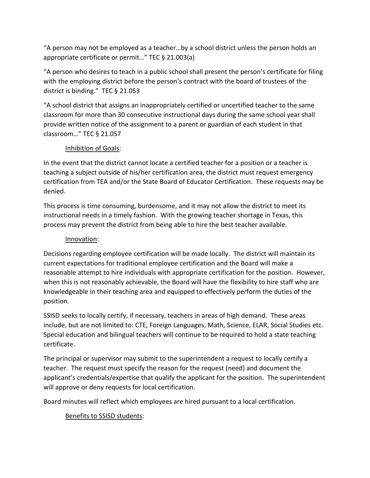"A person may not be employed as a teacher…by a school district unless the person holds an appropriate certificate or permit…" TEC § 21.003(a)

"A person who desires to teach in a public school shall present the person's certificate for filing with the employing district before the person's contract with the board of trustees of the district is binding." TEC § 21.053

"A school district that assigns an inappropriately certified or uncertified teacher to the same classroom for more than 30 consecutive instructional days during the same school year shall provide written notice of the assignment to a parent or guardian of each student in that classroom…" TEC § 21.057

#### Inhibition of Goals:

In the event that the district cannot locate a certified teacher for a position or a teacher is teaching a subject outside of his/her certification area, the district must request emergency certification from TEA and/or the State Board of Educator Certification. These requests may be denied.

This process is time consuming, burdensome, and it may not allow the district to meet its instructional needs in a timely fashion. With the growing teacher shortage in Texas, this process may prevent the district from being able to hire the best teacher available.

#### Innovation:

Decisions regarding employee certification will be made locally. The district will maintain its current expectations for traditional employee certification and the Board will make a reasonable attempt to hire individuals with appropriate certification for the position. However, when this is not reasonably achievable, the Board will have the flexibility to hire staff who are knowledgeable in their teaching area and equipped to effectively perform the duties of the position.

SSISD seeks to locally certify, if necessary, teachers in areas of high demand. These areas include, but are not limited to: CTE, Foreign Languages, Math, Science, ELAR, Social Studies etc. Special education and bilingual teachers will continue to be required to hold a state teaching certificate.

The principal or supervisor may submit to the superintendent a request to locally certify a teacher. The request must specify the reason for the request (need) and document the applicant's credentials/expertise that qualify the applicant for the position. The superintendent will approve or deny requests for local certification.

Board minutes will reflect which employees are hired pursuant to a local certification.

#### Benefits to SSISD students: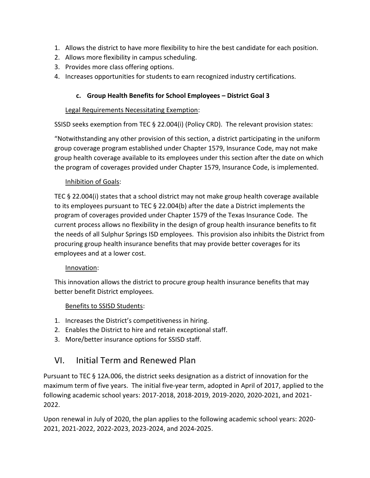- 1. Allows the district to have more flexibility to hire the best candidate for each position.
- 2. Allows more flexibility in campus scheduling.
- 3. Provides more class offering options.
- 4. Increases opportunities for students to earn recognized industry certifications.

#### **c. Group Health Benefits for School Employees – District Goal 3**

#### Legal Requirements Necessitating Exemption:

SSISD seeks exemption from TEC § 22.004(i) (Policy CRD). The relevant provision states:

"Notwithstanding any other provision of this section, a district participating in the uniform group coverage program established under Chapter 1579, Insurance Code, may not make group health coverage available to its employees under this section after the date on which the program of coverages provided under Chapter 1579, Insurance Code, is implemented.

#### Inhibition of Goals:

TEC § 22.004(i) states that a school district may not make group health coverage available to its employees pursuant to TEC § 22.004(b) after the date a District implements the program of coverages provided under Chapter 1579 of the Texas Insurance Code. The current process allows no flexibility in the design of group health insurance benefits to fit the needs of all Sulphur Springs ISD employees. This provision also inhibits the District from procuring group health insurance benefits that may provide better coverages for its employees and at a lower cost.

#### Innovation:

This innovation allows the district to procure group health insurance benefits that may better benefit District employees.

#### Benefits to SSISD Students:

- 1. Increases the District's competitiveness in hiring.
- 2. Enables the District to hire and retain exceptional staff.
- 3. More/better insurance options for SSISD staff.

# VI. Initial Term and Renewed Plan

Pursuant to TEC § 12A.006, the district seeks designation as a district of innovation for the maximum term of five years. The initial five-year term, adopted in April of 2017, applied to the following academic school years: 2017-2018, 2018-2019, 2019-2020, 2020-2021, and 2021- 2022.

Upon renewal in July of 2020, the plan applies to the following academic school years: 2020- 2021, 2021-2022, 2022-2023, 2023-2024, and 2024-2025.